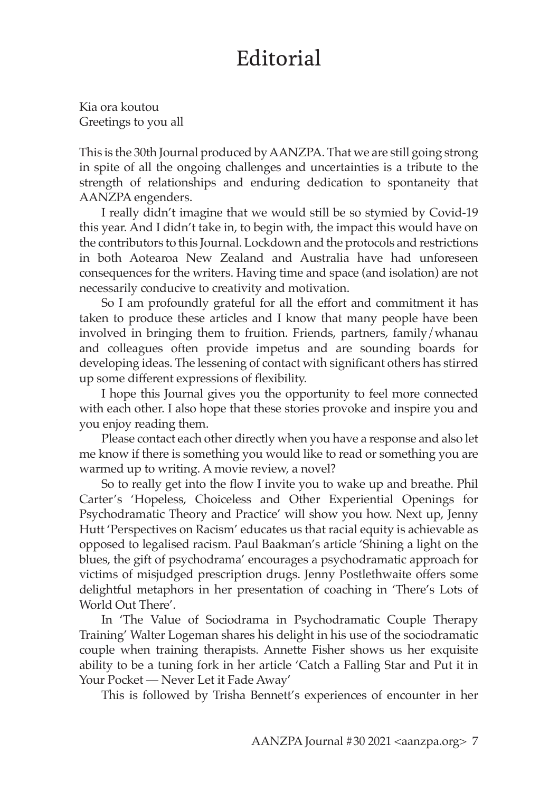## Editorial

Kia ora koutou Greetings to you all

This is the 30th Journal produced by AANZPA. That we are still going strong in spite of all the ongoing challenges and uncertainties is a tribute to the strength of relationships and enduring dedication to spontaneity that AANZPA engenders.

I really didn't imagine that we would still be so stymied by Covid-19 this year. And I didn't take in, to begin with, the impact this would have on the contributors to this Journal. Lockdown and the protocols and restrictions in both Aotearoa New Zealand and Australia have had unforeseen consequences for the writers. Having time and space (and isolation) are not necessarily conducive to creativity and motivation.

So I am profoundly grateful for all the effort and commitment it has taken to produce these articles and I know that many people have been involved in bringing them to fruition. Friends, partners, family/whanau and colleagues often provide impetus and are sounding boards for developing ideas. The lessening of contact with significant others has stirred up some different expressions of flexibility.

I hope this Journal gives you the opportunity to feel more connected with each other. I also hope that these stories provoke and inspire you and you enjoy reading them.

Please contact each other directly when you have a response and also let me know if there is something you would like to read or something you are warmed up to writing. A movie review, a novel?

So to really get into the flow I invite you to wake up and breathe. Phil Carter's 'Hopeless, Choiceless and Other Experiential Openings for Psychodramatic Theory and Practice' will show you how. Next up, Jenny Hutt 'Perspectives on Racism' educates us that racial equity is achievable as opposed to legalised racism. Paul Baakman's article 'Shining a light on the blues, the gift of psychodrama' encourages a psychodramatic approach for victims of misjudged prescription drugs. Jenny Postlethwaite offers some delightful metaphors in her presentation of coaching in 'There's Lots of World Out There'.

In 'The Value of Sociodrama in Psychodramatic Couple Therapy Training' Walter Logeman shares his delight in his use of the sociodramatic couple when training therapists. Annette Fisher shows us her exquisite ability to be a tuning fork in her article 'Catch a Falling Star and Put it in Your Pocket — Never Let it Fade Away'

This is followed by Trisha Bennett's experiences of encounter in her